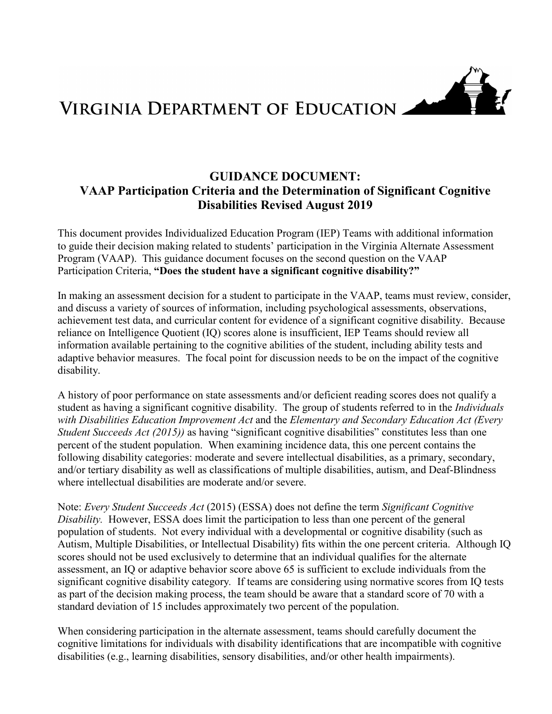

# VIRGINIA DEPARTMENT OF EDUCATION

## **GUIDANCE DOCUMENT: VAAP Participation Criteria and the Determination of Significant Cognitive Disabilities Revised August 2019**

This document provides Individualized Education Program (IEP) Teams with additional information to guide their decision making related to students' participation in the Virginia Alternate Assessment Program (VAAP). This guidance document focuses on the second question on the VAAP Participation Criteria, **"Does the student have a significant cognitive disability?"** 

In making an assessment decision for a student to participate in the VAAP, teams must review, consider, and discuss a variety of sources of information, including psychological assessments, observations, achievement test data, and curricular content for evidence of a significant cognitive disability. Because reliance on Intelligence Quotient (IQ) scores alone is insufficient, IEP Teams should review all information available pertaining to the cognitive abilities of the student, including ability tests and adaptive behavior measures. The focal point for discussion needs to be on the impact of the cognitive disability.

A history of poor performance on state assessments and/or deficient reading scores does not qualify a student as having a significant cognitive disability. The group of students referred to in the *Individuals with Disabilities Education Improvement Act* and the *Elementary and Secondary Education Act (Every Student Succeeds Act (2015))* as having "significant cognitive disabilities" constitutes less than one percent of the student population.When examining incidence data, this one percent contains the following disability categories: moderate and severe intellectual disabilities, as a primary, secondary, and/or tertiary disability as well as classifications of multiple disabilities, autism, and Deaf-Blindness where intellectual disabilities are moderate and/or severe.

Note: *Every Student Succeeds Act* (2015) (ESSA) does not define the term *Significant Cognitive Disability.* However, ESSA does limit the participation to less than one percent of the general population of students. Not every individual with a developmental or cognitive disability (such as Autism, Multiple Disabilities, or Intellectual Disability) fits within the one percent criteria. Although IQ scores should not be used exclusively to determine that an individual qualifies for the alternate assessment, an IQ or adaptive behavior score above 65 is sufficient to exclude individuals from the significant cognitive disability category*.* If teams are considering using normative scores from IQ tests as part of the decision making process, the team should be aware that a standard score of 70 with a standard deviation of 15 includes approximately two percent of the population.

When considering participation in the alternate assessment, teams should carefully document the cognitive limitations for individuals with disability identifications that are incompatible with cognitive disabilities (e.g., learning disabilities, sensory disabilities, and/or other health impairments).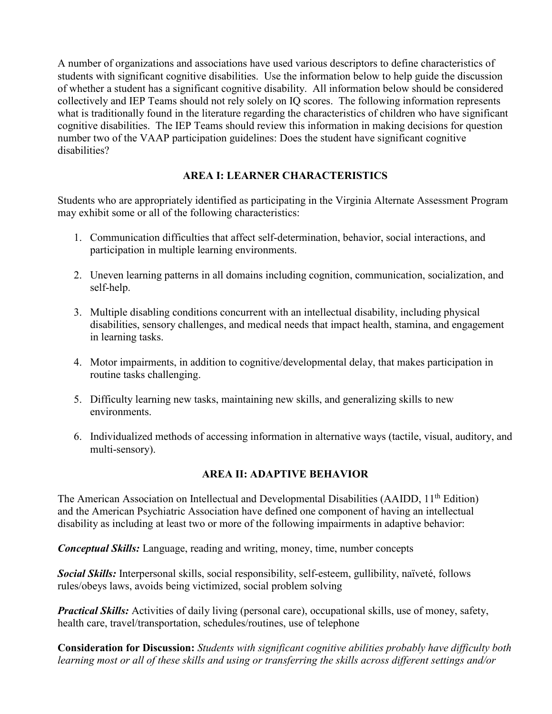A number of organizations and associations have used various descriptors to define characteristics of students with significant cognitive disabilities. Use the information below to help guide the discussion of whether a student has a significant cognitive disability. All information below should be considered collectively and IEP Teams should not rely solely on IQ scores. The following information represents what is traditionally found in the literature regarding the characteristics of children who have significant cognitive disabilities. The IEP Teams should review this information in making decisions for question number two of the VAAP participation guidelines: Does the student have significant cognitive disabilities?

### **AREA I: LEARNER CHARACTERISTICS**

Students who are appropriately identified as participating in the Virginia Alternate Assessment Program may exhibit some or all of the following characteristics:

- 1. Communication difficulties that affect self-determination, behavior, social interactions, and participation in multiple learning environments.
- 2. Uneven learning patterns in all domains including cognition, communication, socialization, and self-help.
- 3. Multiple disabling conditions concurrent with an intellectual disability, including physical disabilities, sensory challenges, and medical needs that impact health, stamina, and engagement in learning tasks.
- 4. Motor impairments, in addition to cognitive/developmental delay, that makes participation in routine tasks challenging.
- 5. Difficulty learning new tasks, maintaining new skills, and generalizing skills to new environments.
- 6. Individualized methods of accessing information in alternative ways (tactile, visual, auditory, and multi-sensory).

#### **AREA II: ADAPTIVE BEHAVIOR**

The American Association on Intellectual and Developmental Disabilities (AAIDD, 11<sup>th</sup> Edition) and the American Psychiatric Association have defined one component of having an intellectual disability as including at least two or more of the following impairments in adaptive behavior:

*Conceptual Skills:* Language, reading and writing, money, time, number concepts

*Social Skills:* Interpersonal skills, social responsibility, self-esteem, gullibility, naïveté, follows rules/obeys laws, avoids being victimized, social problem solving

*Practical Skills:* Activities of daily living (personal care), occupational skills, use of money, safety, health care, travel/transportation, schedules/routines, use of telephone

**Consideration for Discussion:** *Students with significant cognitive abilities probably have difficulty both learning most or all of these skills and using or transferring the skills across different settings and/or*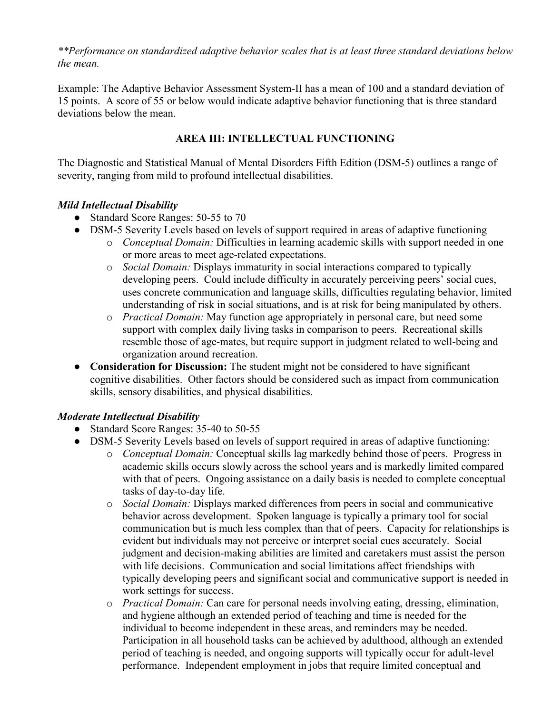*\*\*Performance on standardized adaptive behavior scales that is at least three standard deviations below the mean.* 

Example: The Adaptive Behavior Assessment System-II has a mean of 100 and a standard deviation of 15 points. A score of 55 or below would indicate adaptive behavior functioning that is three standard deviations below the mean.

## **AREA III: INTELLECTUAL FUNCTIONING**

The Diagnostic and Statistical Manual of Mental Disorders Fifth Edition (DSM-5) outlines a range of severity, ranging from mild to profound intellectual disabilities.

## *Mild Intellectual Disability*

- Standard Score Ranges: 50-55 to 70
- DSM-5 Severity Levels based on levels of support required in areas of adaptive functioning
	- o *Conceptual Domain:* Difficulties in learning academic skills with support needed in one or more areas to meet age-related expectations.
	- o *Social Domain:* Displays immaturity in social interactions compared to typically developing peers. Could include difficulty in accurately perceiving peers' social cues, uses concrete communication and language skills, difficulties regulating behavior, limited understanding of risk in social situations, and is at risk for being manipulated by others.
	- o *Practical Domain:* May function age appropriately in personal care, but need some support with complex daily living tasks in comparison to peers. Recreational skills resemble those of age-mates, but require support in judgment related to well-being and organization around recreation.
- **Consideration for Discussion:** The student might not be considered to have significant cognitive disabilities. Other factors should be considered such as impact from communication skills, sensory disabilities, and physical disabilities.

## *Moderate Intellectual Disability*

- Standard Score Ranges: 35-40 to 50-55
- DSM-5 Severity Levels based on levels of support required in areas of adaptive functioning:
	- o *Conceptual Domain:* Conceptual skills lag markedly behind those of peers. Progress in academic skills occurs slowly across the school years and is markedly limited compared with that of peers. Ongoing assistance on a daily basis is needed to complete conceptual tasks of day-to-day life.
	- o *Social Domain:* Displays marked differences from peers in social and communicative behavior across development. Spoken language is typically a primary tool for social communication but is much less complex than that of peers. Capacity for relationships is evident but individuals may not perceive or interpret social cues accurately. Social judgment and decision-making abilities are limited and caretakers must assist the person with life decisions. Communication and social limitations affect friendships with typically developing peers and significant social and communicative support is needed in work settings for success.
	- o *Practical Domain:* Can care for personal needs involving eating, dressing, elimination, and hygiene although an extended period of teaching and time is needed for the individual to become independent in these areas, and reminders may be needed. Participation in all household tasks can be achieved by adulthood, although an extended period of teaching is needed, and ongoing supports will typically occur for adult-level performance. Independent employment in jobs that require limited conceptual and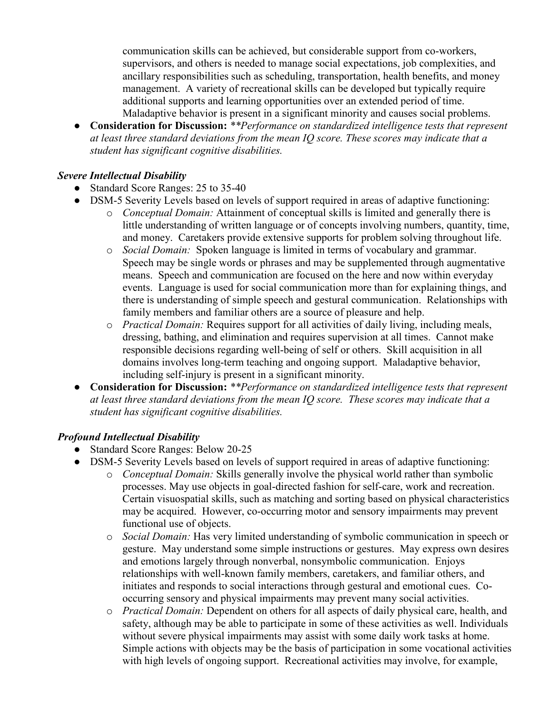communication skills can be achieved, but considerable support from co-workers, supervisors, and others is needed to manage social expectations, job complexities, and ancillary responsibilities such as scheduling, transportation, health benefits, and money management. A variety of recreational skills can be developed but typically require additional supports and learning opportunities over an extended period of time. Maladaptive behavior is present in a significant minority and causes social problems.

● **Consideration for Discussion:** *\*\*Performance on standardized intelligence tests that represent at least three standard deviations from the mean IQ score. These scores may indicate that a student has significant cognitive disabilities.* 

#### *Severe Intellectual Disability*

- Standard Score Ranges: 25 to 35-40
- DSM-5 Severity Levels based on levels of support required in areas of adaptive functioning:
	- o *Conceptual Domain:* Attainment of conceptual skills is limited and generally there is little understanding of written language or of concepts involving numbers, quantity, time, and money. Caretakers provide extensive supports for problem solving throughout life.
	- o *Social Domain:* Spoken language is limited in terms of vocabulary and grammar. Speech may be single words or phrases and may be supplemented through augmentative means. Speech and communication are focused on the here and now within everyday events. Language is used for social communication more than for explaining things, and there is understanding of simple speech and gestural communication. Relationships with family members and familiar others are a source of pleasure and help.
	- o *Practical Domain:* Requires support for all activities of daily living, including meals, dressing, bathing, and elimination and requires supervision at all times.Cannot make responsible decisions regarding well-being of self or others. Skill acquisition in all domains involves long-term teaching and ongoing support. Maladaptive behavior, including self-injury is present in a significant minority.
- **Consideration for Discussion:** *\*\*Performance on standardized intelligence tests that represent at least three standard deviations from the mean IQ score. These scores may indicate that a student has significant cognitive disabilities.*

#### *Profound Intellectual Disability*

- Standard Score Ranges: Below 20-25
- DSM-5 Severity Levels based on levels of support required in areas of adaptive functioning:
	- o *Conceptual Domain:* Skills generally involve the physical world rather than symbolic processes. May use objects in goal-directed fashion for self-care, work and recreation. Certain visuospatial skills, such as matching and sorting based on physical characteristics may be acquired. However, co-occurring motor and sensory impairments may prevent functional use of objects.
	- o *Social Domain:* Has very limited understanding of symbolic communication in speech or gesture. May understand some simple instructions or gestures. May express own desires and emotions largely through nonverbal, nonsymbolic communication. Enjoys relationships with well-known family members, caretakers, and familiar others, and initiates and responds to social interactions through gestural and emotional cues. Cooccurring sensory and physical impairments may prevent many social activities.
	- o *Practical Domain:* Dependent on others for all aspects of daily physical care, health, and safety, although may be able to participate in some of these activities as well. Individuals without severe physical impairments may assist with some daily work tasks at home. Simple actions with objects may be the basis of participation in some vocational activities with high levels of ongoing support. Recreational activities may involve, for example,